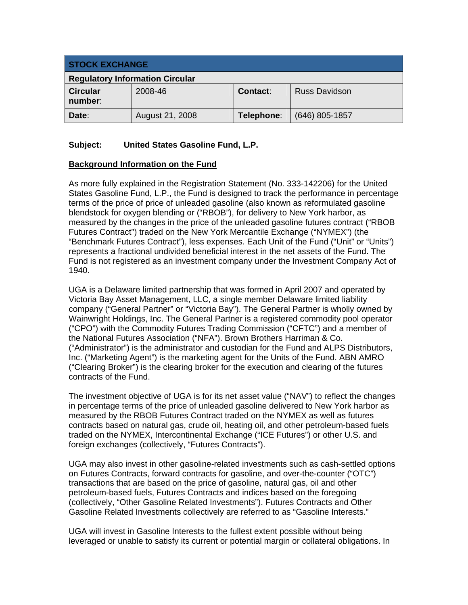| <b>STOCK EXCHANGE</b>                  |                 |                 |                      |
|----------------------------------------|-----------------|-----------------|----------------------|
| <b>Regulatory Information Circular</b> |                 |                 |                      |
| <b>Circular</b><br>number:             | 2008-46         | <b>Contact:</b> | <b>Russ Davidson</b> |
| Date:                                  | August 21, 2008 | Telephone:      | $(646)$ 805-1857     |

## **Subject: United States Gasoline Fund, L.P.**

#### **Background Information on the Fund**

As more fully explained in the Registration Statement (No. 333-142206) for the United States Gasoline Fund, L.P., the Fund is designed to track the performance in percentage terms of the price of price of unleaded gasoline (also known as reformulated gasoline blendstock for oxygen blending or ("RBOB"), for delivery to New York harbor, as measured by the changes in the price of the unleaded gasoline futures contract ("RBOB Futures Contract") traded on the New York Mercantile Exchange ("NYMEX") (the "Benchmark Futures Contract"), less expenses. Each Unit of the Fund ("Unit" or "Units") represents a fractional undivided beneficial interest in the net assets of the Fund. The Fund is not registered as an investment company under the Investment Company Act of 1940.

UGA is a Delaware limited partnership that was formed in April 2007 and operated by Victoria Bay Asset Management, LLC, a single member Delaware limited liability company ("General Partner" or "Victoria Bay"). The General Partner is wholly owned by Wainwright Holdings, Inc. The General Partner is a registered commodity pool operator ("CPO") with the Commodity Futures Trading Commission ("CFTC") and a member of the National Futures Association ("NFA"). Brown Brothers Harriman & Co. ("Administrator") is the administrator and custodian for the Fund and ALPS Distributors, Inc. ("Marketing Agent") is the marketing agent for the Units of the Fund. ABN AMRO ("Clearing Broker") is the clearing broker for the execution and clearing of the futures contracts of the Fund.

The investment objective of UGA is for its net asset value ("NAV") to reflect the changes in percentage terms of the price of unleaded gasoline delivered to New York harbor as measured by the RBOB Futures Contract traded on the NYMEX as well as futures contracts based on natural gas, crude oil, heating oil, and other petroleum-based fuels traded on the NYMEX, Intercontinental Exchange ("ICE Futures") or other U.S. and foreign exchanges (collectively, "Futures Contracts").

UGA may also invest in other gasoline-related investments such as cash-settled options on Futures Contracts, forward contracts for gasoline, and over-the-counter ("OTC") transactions that are based on the price of gasoline, natural gas, oil and other petroleum-based fuels, Futures Contracts and indices based on the foregoing (collectively, "Other Gasoline Related Investments"). Futures Contracts and Other Gasoline Related Investments collectively are referred to as "Gasoline Interests."

UGA will invest in Gasoline Interests to the fullest extent possible without being leveraged or unable to satisfy its current or potential margin or collateral obligations. In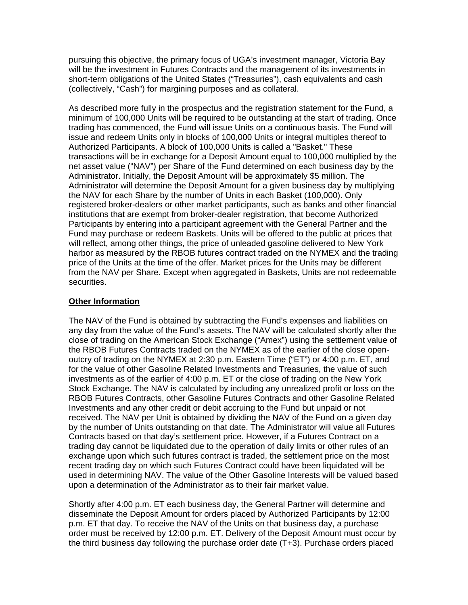pursuing this objective, the primary focus of UGA's investment manager, Victoria Bay will be the investment in Futures Contracts and the management of its investments in short-term obligations of the United States ("Treasuries"), cash equivalents and cash (collectively, "Cash") for margining purposes and as collateral.

As described more fully in the prospectus and the registration statement for the Fund, a minimum of 100,000 Units will be required to be outstanding at the start of trading. Once trading has commenced, the Fund will issue Units on a continuous basis. The Fund will issue and redeem Units only in blocks of 100,000 Units or integral multiples thereof to Authorized Participants. A block of 100,000 Units is called a "Basket." These transactions will be in exchange for a Deposit Amount equal to 100,000 multiplied by the net asset value ("NAV") per Share of the Fund determined on each business day by the Administrator. Initially, the Deposit Amount will be approximately \$5 million. The Administrator will determine the Deposit Amount for a given business day by multiplying the NAV for each Share by the number of Units in each Basket (100,000). Only registered broker-dealers or other market participants, such as banks and other financial institutions that are exempt from broker-dealer registration, that become Authorized Participants by entering into a participant agreement with the General Partner and the Fund may purchase or redeem Baskets. Units will be offered to the public at prices that will reflect, among other things, the price of unleaded gasoline delivered to New York harbor as measured by the RBOB futures contract traded on the NYMEX and the trading price of the Units at the time of the offer. Market prices for the Units may be different from the NAV per Share. Except when aggregated in Baskets, Units are not redeemable securities.

### **Other Information**

The NAV of the Fund is obtained by subtracting the Fund's expenses and liabilities on any day from the value of the Fund's assets. The NAV will be calculated shortly after the close of trading on the American Stock Exchange ("Amex") using the settlement value of the RBOB Futures Contracts traded on the NYMEX as of the earlier of the close openoutcry of trading on the NYMEX at 2:30 p.m. Eastern Time ("ET") or 4:00 p.m. ET, and for the value of other Gasoline Related Investments and Treasuries, the value of such investments as of the earlier of 4:00 p.m. ET or the close of trading on the New York Stock Exchange. The NAV is calculated by including any unrealized profit or loss on the RBOB Futures Contracts, other Gasoline Futures Contracts and other Gasoline Related Investments and any other credit or debit accruing to the Fund but unpaid or not received. The NAV per Unit is obtained by dividing the NAV of the Fund on a given day by the number of Units outstanding on that date. The Administrator will value all Futures Contracts based on that day's settlement price. However, if a Futures Contract on a trading day cannot be liquidated due to the operation of daily limits or other rules of an exchange upon which such futures contract is traded, the settlement price on the most recent trading day on which such Futures Contract could have been liquidated will be used in determining NAV. The value of the Other Gasoline Interests will be valued based upon a determination of the Administrator as to their fair market value.

Shortly after 4:00 p.m. ET each business day, the General Partner will determine and disseminate the Deposit Amount for orders placed by Authorized Participants by 12:00 p.m. ET that day. To receive the NAV of the Units on that business day, a purchase order must be received by 12:00 p.m. ET. Delivery of the Deposit Amount must occur by the third business day following the purchase order date (T+3). Purchase orders placed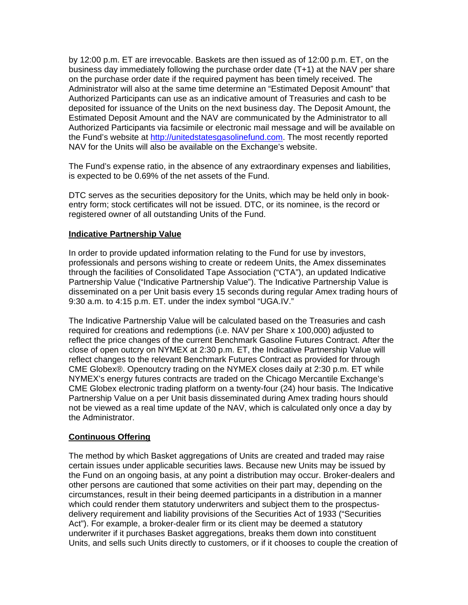by 12:00 p.m. ET are irrevocable. Baskets are then issued as of 12:00 p.m. ET, on the business day immediately following the purchase order date (T+1) at the NAV per share on the purchase order date if the required payment has been timely received. The Administrator will also at the same time determine an "Estimated Deposit Amount" that Authorized Participants can use as an indicative amount of Treasuries and cash to be deposited for issuance of the Units on the next business day. The Deposit Amount, the Estimated Deposit Amount and the NAV are communicated by the Administrator to all Authorized Participants via facsimile or electronic mail message and will be available on the Fund's website at http://unitedstatesgasolinefund.com. The most recently reported NAV for the Units will also be available on the Exchange's website.

The Fund's expense ratio, in the absence of any extraordinary expenses and liabilities, is expected to be 0.69% of the net assets of the Fund.

DTC serves as the securities depository for the Units, which may be held only in bookentry form; stock certificates will not be issued. DTC, or its nominee, is the record or registered owner of all outstanding Units of the Fund.

#### **Indicative Partnership Value**

In order to provide updated information relating to the Fund for use by investors, professionals and persons wishing to create or redeem Units, the Amex disseminates through the facilities of Consolidated Tape Association ("CTA"), an updated Indicative Partnership Value ("Indicative Partnership Value"). The Indicative Partnership Value is disseminated on a per Unit basis every 15 seconds during regular Amex trading hours of 9:30 a.m. to 4:15 p.m. ET. under the index symbol "UGA.IV."

The Indicative Partnership Value will be calculated based on the Treasuries and cash required for creations and redemptions (i.e. NAV per Share x 100,000) adjusted to reflect the price changes of the current Benchmark Gasoline Futures Contract. After the close of open outcry on NYMEX at 2:30 p.m. ET, the Indicative Partnership Value will reflect changes to the relevant Benchmark Futures Contract as provided for through CME Globex®. Openoutcry trading on the NYMEX closes daily at 2:30 p.m. ET while NYMEX's energy futures contracts are traded on the Chicago Mercantile Exchange's CME Globex electronic trading platform on a twenty-four (24) hour basis. The Indicative Partnership Value on a per Unit basis disseminated during Amex trading hours should not be viewed as a real time update of the NAV, which is calculated only once a day by the Administrator.

#### **Continuous Offering**

The method by which Basket aggregations of Units are created and traded may raise certain issues under applicable securities laws. Because new Units may be issued by the Fund on an ongoing basis, at any point a distribution may occur. Broker-dealers and other persons are cautioned that some activities on their part may, depending on the circumstances, result in their being deemed participants in a distribution in a manner which could render them statutory underwriters and subject them to the prospectusdelivery requirement and liability provisions of the Securities Act of 1933 ("Securities Act"). For example, a broker-dealer firm or its client may be deemed a statutory underwriter if it purchases Basket aggregations, breaks them down into constituent Units, and sells such Units directly to customers, or if it chooses to couple the creation of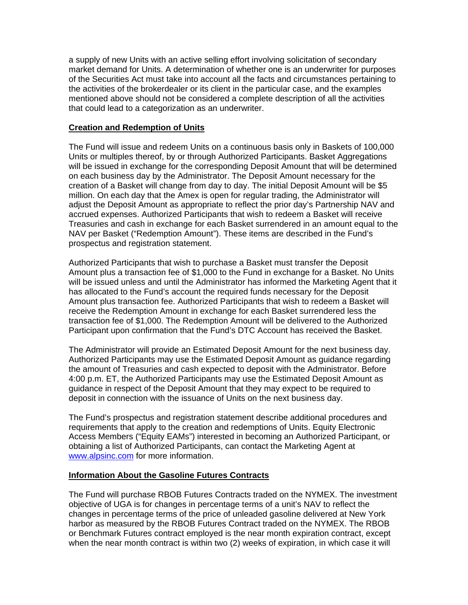a supply of new Units with an active selling effort involving solicitation of secondary market demand for Units. A determination of whether one is an underwriter for purposes of the Securities Act must take into account all the facts and circumstances pertaining to the activities of the brokerdealer or its client in the particular case, and the examples mentioned above should not be considered a complete description of all the activities that could lead to a categorization as an underwriter.

#### **Creation and Redemption of Units**

The Fund will issue and redeem Units on a continuous basis only in Baskets of 100,000 Units or multiples thereof, by or through Authorized Participants. Basket Aggregations will be issued in exchange for the corresponding Deposit Amount that will be determined on each business day by the Administrator. The Deposit Amount necessary for the creation of a Basket will change from day to day. The initial Deposit Amount will be \$5 million. On each day that the Amex is open for regular trading, the Administrator will adjust the Deposit Amount as appropriate to reflect the prior day's Partnership NAV and accrued expenses. Authorized Participants that wish to redeem a Basket will receive Treasuries and cash in exchange for each Basket surrendered in an amount equal to the NAV per Basket ("Redemption Amount"). These items are described in the Fund's prospectus and registration statement.

Authorized Participants that wish to purchase a Basket must transfer the Deposit Amount plus a transaction fee of \$1,000 to the Fund in exchange for a Basket. No Units will be issued unless and until the Administrator has informed the Marketing Agent that it has allocated to the Fund's account the required funds necessary for the Deposit Amount plus transaction fee. Authorized Participants that wish to redeem a Basket will receive the Redemption Amount in exchange for each Basket surrendered less the transaction fee of \$1,000. The Redemption Amount will be delivered to the Authorized Participant upon confirmation that the Fund's DTC Account has received the Basket.

The Administrator will provide an Estimated Deposit Amount for the next business day. Authorized Participants may use the Estimated Deposit Amount as guidance regarding the amount of Treasuries and cash expected to deposit with the Administrator. Before 4:00 p.m. ET, the Authorized Participants may use the Estimated Deposit Amount as guidance in respect of the Deposit Amount that they may expect to be required to deposit in connection with the issuance of Units on the next business day.

The Fund's prospectus and registration statement describe additional procedures and requirements that apply to the creation and redemptions of Units. Equity Electronic Access Members ("Equity EAMs") interested in becoming an Authorized Participant, or obtaining a list of Authorized Participants, can contact the Marketing Agent at www.alpsinc.com for more information.

#### **Information About the Gasoline Futures Contracts**

The Fund will purchase RBOB Futures Contracts traded on the NYMEX. The investment objective of UGA is for changes in percentage terms of a unit's NAV to reflect the changes in percentage terms of the price of unleaded gasoline delivered at New York harbor as measured by the RBOB Futures Contract traded on the NYMEX. The RBOB or Benchmark Futures contract employed is the near month expiration contract, except when the near month contract is within two (2) weeks of expiration, in which case it will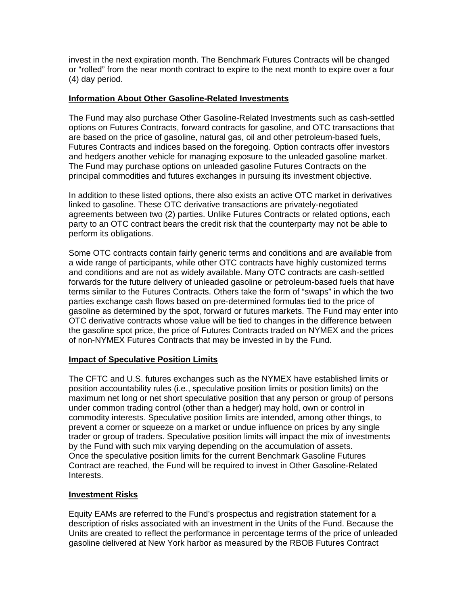invest in the next expiration month. The Benchmark Futures Contracts will be changed or "rolled" from the near month contract to expire to the next month to expire over a four (4) day period.

### **Information About Other Gasoline-Related Investments**

The Fund may also purchase Other Gasoline-Related Investments such as cash-settled options on Futures Contracts, forward contracts for gasoline, and OTC transactions that are based on the price of gasoline, natural gas, oil and other petroleum-based fuels, Futures Contracts and indices based on the foregoing. Option contracts offer investors and hedgers another vehicle for managing exposure to the unleaded gasoline market. The Fund may purchase options on unleaded gasoline Futures Contracts on the principal commodities and futures exchanges in pursuing its investment objective.

In addition to these listed options, there also exists an active OTC market in derivatives linked to gasoline. These OTC derivative transactions are privately-negotiated agreements between two (2) parties. Unlike Futures Contracts or related options, each party to an OTC contract bears the credit risk that the counterparty may not be able to perform its obligations.

Some OTC contracts contain fairly generic terms and conditions and are available from a wide range of participants, while other OTC contracts have highly customized terms and conditions and are not as widely available. Many OTC contracts are cash-settled forwards for the future delivery of unleaded gasoline or petroleum-based fuels that have terms similar to the Futures Contracts. Others take the form of "swaps" in which the two parties exchange cash flows based on pre-determined formulas tied to the price of gasoline as determined by the spot, forward or futures markets. The Fund may enter into OTC derivative contracts whose value will be tied to changes in the difference between the gasoline spot price, the price of Futures Contracts traded on NYMEX and the prices of non-NYMEX Futures Contracts that may be invested in by the Fund.

## **Impact of Speculative Position Limits**

The CFTC and U.S. futures exchanges such as the NYMEX have established limits or position accountability rules (i.e., speculative position limits or position limits) on the maximum net long or net short speculative position that any person or group of persons under common trading control (other than a hedger) may hold, own or control in commodity interests. Speculative position limits are intended, among other things, to prevent a corner or squeeze on a market or undue influence on prices by any single trader or group of traders. Speculative position limits will impact the mix of investments by the Fund with such mix varying depending on the accumulation of assets. Once the speculative position limits for the current Benchmark Gasoline Futures Contract are reached, the Fund will be required to invest in Other Gasoline-Related Interests.

## **Investment Risks**

Equity EAMs are referred to the Fund's prospectus and registration statement for a description of risks associated with an investment in the Units of the Fund. Because the Units are created to reflect the performance in percentage terms of the price of unleaded gasoline delivered at New York harbor as measured by the RBOB Futures Contract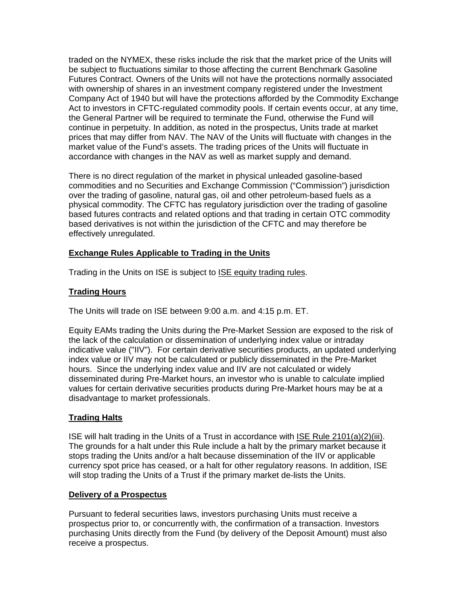traded on the NYMEX, these risks include the risk that the market price of the Units will be subject to fluctuations similar to those affecting the current Benchmark Gasoline Futures Contract. Owners of the Units will not have the protections normally associated with ownership of shares in an investment company registered under the Investment Company Act of 1940 but will have the protections afforded by the Commodity Exchange Act to investors in CFTC-regulated commodity pools. If certain events occur, at any time, the General Partner will be required to terminate the Fund, otherwise the Fund will continue in perpetuity. In addition, as noted in the prospectus, Units trade at market prices that may differ from NAV. The NAV of the Units will fluctuate with changes in the market value of the Fund's assets. The trading prices of the Units will fluctuate in accordance with changes in the NAV as well as market supply and demand.

There is no direct regulation of the market in physical unleaded gasoline-based commodities and no Securities and Exchange Commission ("Commission") jurisdiction over the trading of gasoline, natural gas, oil and other petroleum-based fuels as a physical commodity. The CFTC has regulatory jurisdiction over the trading of gasoline based futures contracts and related options and that trading in certain OTC commodity based derivatives is not within the jurisdiction of the CFTC and may therefore be effectively unregulated.

## **Exchange Rules Applicable to Trading in the Units**

Trading in the Units on ISE is subject to ISE equity trading rules.

# **Trading Hours**

The Units will trade on ISE between 9:00 a.m. and 4:15 p.m. ET.

Equity EAMs trading the Units during the Pre-Market Session are exposed to the risk of the lack of the calculation or dissemination of underlying index value or intraday indicative value ("IIV"). For certain derivative securities products, an updated underlying index value or IIV may not be calculated or publicly disseminated in the Pre-Market hours. Since the underlying index value and IIV are not calculated or widely disseminated during Pre-Market hours, an investor who is unable to calculate implied values for certain derivative securities products during Pre-Market hours may be at a disadvantage to market professionals.

# **Trading Halts**

ISE will halt trading in the Units of a Trust in accordance with ISE Rule 2101(a)(2)(iii). The grounds for a halt under this Rule include a halt by the primary market because it stops trading the Units and/or a halt because dissemination of the IIV or applicable currency spot price has ceased, or a halt for other regulatory reasons. In addition, ISE will stop trading the Units of a Trust if the primary market de-lists the Units.

## **Delivery of a Prospectus**

Pursuant to federal securities laws, investors purchasing Units must receive a prospectus prior to, or concurrently with, the confirmation of a transaction. Investors purchasing Units directly from the Fund (by delivery of the Deposit Amount) must also receive a prospectus.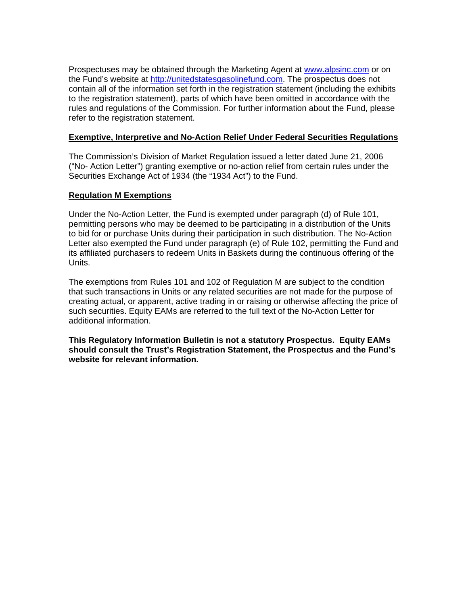Prospectuses may be obtained through the Marketing Agent at www.alpsinc.com or on the Fund's website at http://unitedstatesgasolinefund.com. The prospectus does not contain all of the information set forth in the registration statement (including the exhibits to the registration statement), parts of which have been omitted in accordance with the rules and regulations of the Commission. For further information about the Fund, please refer to the registration statement.

#### **Exemptive, Interpretive and No-Action Relief Under Federal Securities Regulations**

The Commission's Division of Market Regulation issued a letter dated June 21, 2006 ("No- Action Letter") granting exemptive or no-action relief from certain rules under the Securities Exchange Act of 1934 (the "1934 Act") to the Fund.

#### **Regulation M Exemptions**

Under the No-Action Letter, the Fund is exempted under paragraph (d) of Rule 101, permitting persons who may be deemed to be participating in a distribution of the Units to bid for or purchase Units during their participation in such distribution. The No-Action Letter also exempted the Fund under paragraph (e) of Rule 102, permitting the Fund and its affiliated purchasers to redeem Units in Baskets during the continuous offering of the Units.

The exemptions from Rules 101 and 102 of Regulation M are subject to the condition that such transactions in Units or any related securities are not made for the purpose of creating actual, or apparent, active trading in or raising or otherwise affecting the price of such securities. Equity EAMs are referred to the full text of the No-Action Letter for additional information.

**This Regulatory Information Bulletin is not a statutory Prospectus. Equity EAMs should consult the Trust's Registration Statement, the Prospectus and the Fund's website for relevant information.**